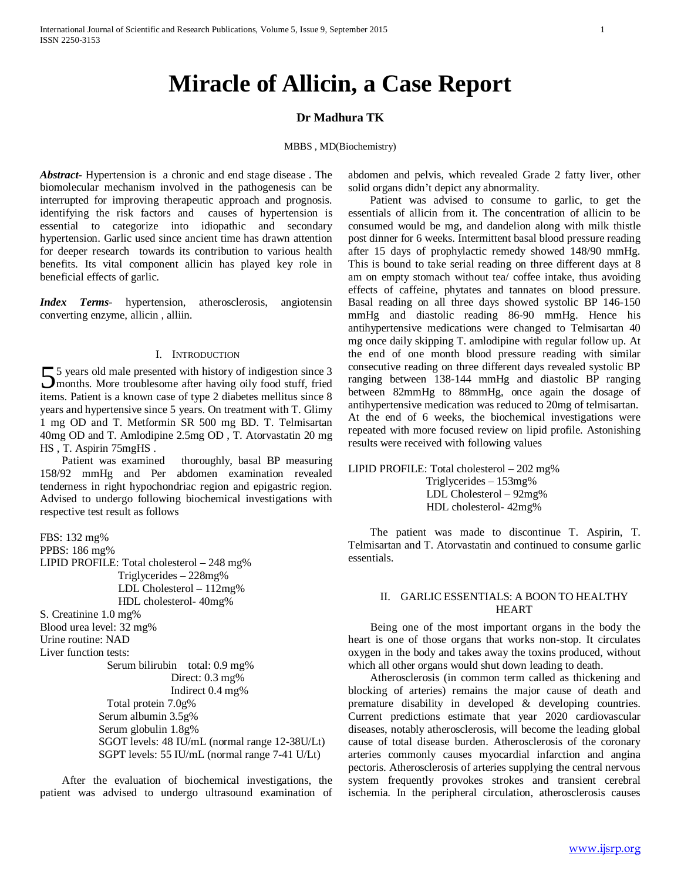# **Miracle of Allicin, a Case Report**

## **Dr Madhura TK**

#### MBBS , MD(Biochemistry)

*Abstract***-** Hypertension is a chronic and end stage disease . The biomolecular mechanism involved in the pathogenesis can be interrupted for improving therapeutic approach and prognosis. identifying the risk factors and causes of hypertension is essential to categorize into idiopathic and secondary hypertension. Garlic used since ancient time has drawn attention for deeper research towards its contribution to various health benefits. Its vital component allicin has played key role in beneficial effects of garlic.

*Index Terms*- hypertension, atherosclerosis, angiotensin converting enzyme, allicin , alliin.

#### I. INTRODUCTION

5 years old male presented with history of indigestion since 3 55 years old male presented with history of indigestion since 3<br>months. More troublesome after having oily food stuff, fried items. Patient is a known case of type 2 diabetes mellitus since 8 years and hypertensive since 5 years. On treatment with T. Glimy 1 mg OD and T. Metformin SR 500 mg BD. T. Telmisartan 40mg OD and T. Amlodipine 2.5mg OD , T. Atorvastatin 20 mg HS , T. Aspirin 75mgHS .

 Patient was examined thoroughly, basal BP measuring 158/92 mmHg and Per abdomen examination revealed tenderness in right hypochondriac region and epigastric region. Advised to undergo following biochemical investigations with respective test result as follows

FBS: 132 mg% PPBS: 186 mg% LIPID PROFILE: Total cholesterol – 248 mg% Triglycerides – 228mg% LDL Cholesterol – 112mg% HDL cholesterol- 40mg% S. Creatinine 1.0 mg% Blood urea level: 32 mg% Urine routine: NAD Liver function tests: Serum bilirubin total: 0.9 mg% Direct: 0.3 mg% Indirect 0.4 mg% Total protein 7.0g% Serum albumin 3.5g% Serum globulin 1.8g% SGOT levels: 48 IU/mL (normal range 12-38U/Lt) SGPT levels: 55 IU/mL (normal range 7-41 U/Lt)

 After the evaluation of biochemical investigations, the patient was advised to undergo ultrasound examination of

abdomen and pelvis, which revealed Grade 2 fatty liver, other solid organs didn't depict any abnormality.

 Patient was advised to consume to garlic, to get the essentials of allicin from it. The concentration of allicin to be consumed would be mg, and dandelion along with milk thistle post dinner for 6 weeks. Intermittent basal blood pressure reading after 15 days of prophylactic remedy showed 148/90 mmHg. This is bound to take serial reading on three different days at 8 am on empty stomach without tea/ coffee intake, thus avoiding effects of caffeine, phytates and tannates on blood pressure. Basal reading on all three days showed systolic BP 146-150 mmHg and diastolic reading 86-90 mmHg. Hence his antihypertensive medications were changed to Telmisartan 40 mg once daily skipping T. amlodipine with regular follow up. At the end of one month blood pressure reading with similar consecutive reading on three different days revealed systolic BP ranging between 138-144 mmHg and diastolic BP ranging between 82mmHg to 88mmHg, once again the dosage of antihypertensive medication was reduced to 20mg of telmisartan. At the end of 6 weeks, the biochemical investigations were repeated with more focused review on lipid profile. Astonishing results were received with following values

LIPID PROFILE: Total cholesterol – 202 mg% Triglycerides – 153mg% LDL Cholesterol – 92mg% HDL cholesterol- 42mg%

 The patient was made to discontinue T. Aspirin, T. Telmisartan and T. Atorvastatin and continued to consume garlic essentials.

#### II. GARLIC ESSENTIALS: A BOON TO HEALTHY HEART

 Being one of the most important organs in the body the heart is one of those organs that works non-stop. It circulates oxygen in the body and takes away the toxins produced, without which all other organs would shut down leading to death.

 Atherosclerosis (in common term called as thickening and blocking of arteries) remains the major cause of death and premature disability in developed & developing countries. Current predictions estimate that year 2020 cardiovascular diseases, notably atherosclerosis, will become the leading global cause of total disease burden. Atherosclerosis of the coronary arteries commonly causes myocardial infarction and angina pectoris. Atherosclerosis of arteries supplying the central nervous system frequently provokes strokes and transient cerebral ischemia. In the peripheral circulation, atherosclerosis causes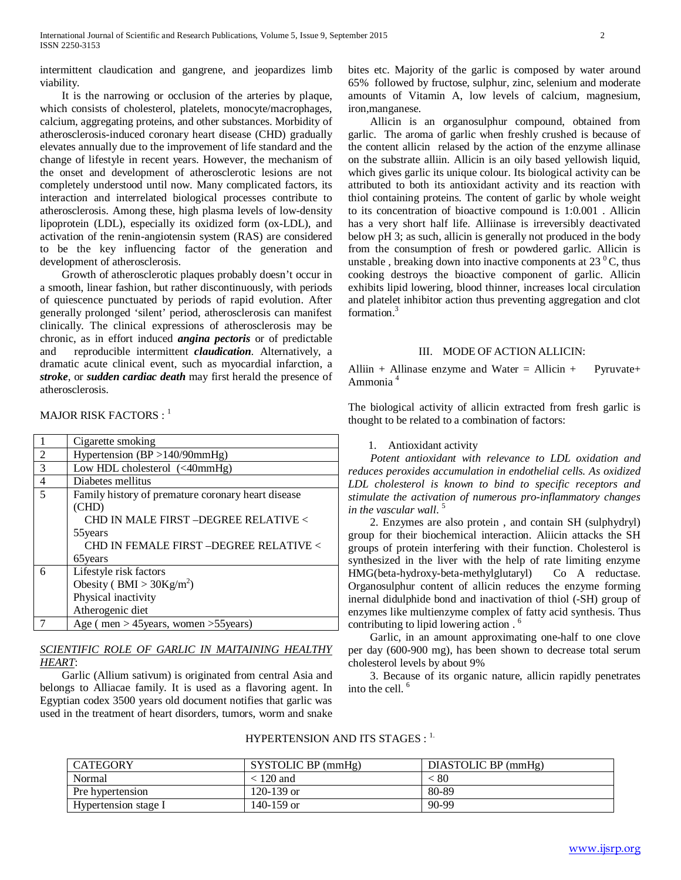intermittent claudication and gangrene, and jeopardizes limb viability.

 It is the narrowing or occlusion of the arteries by plaque, which consists of cholesterol, platelets, monocyte/macrophages, calcium, aggregating proteins, and other substances. Morbidity of atherosclerosis-induced coronary heart disease (CHD) gradually elevates annually due to the improvement of life standard and the change of lifestyle in recent years. However, the mechanism of the onset and development of atherosclerotic lesions are not completely understood until now. Many complicated factors, its interaction and interrelated biological processes contribute to atherosclerosis. Among these, high plasma levels of low-density lipoprotein (LDL), especially its oxidized form (ox-LDL), and activation of the renin-angiotensin system (RAS) are considered to be the key influencing factor of the generation and development of atherosclerosis.

 Growth of atherosclerotic plaques probably doesn't occur in a smooth, linear fashion, but rather discontinuously, with periods of quiescence punctuated by periods of rapid evolution. After generally prolonged 'silent' period, atherosclerosis can manifest clinically. The clinical expressions of atherosclerosis may be chronic, as in effort induced *angina pectoris* or of predictable and reproducible intermittent *claudication*. Alternatively, a dramatic acute clinical event, such as myocardial infarction, a *stroke*, or *sudden cardiac death* may first herald the presence of atherosclerosis.

MAJOR RISK FACTORS : <sup>1</sup>

|                | Cigarette smoking                                            |  |  |
|----------------|--------------------------------------------------------------|--|--|
| 2              | Hypertension $(BP > 140/90$ mmHg)                            |  |  |
| 3              | Low HDL cholesterol $(40 \text{mmHg})$                       |  |  |
| $\overline{4}$ | Diabetes mellitus                                            |  |  |
| 5              | Family history of premature coronary heart disease           |  |  |
|                | (CHD)                                                        |  |  |
|                | CHD IN MALE FIRST -DEGREE RELATIVE <                         |  |  |
|                | 55 years                                                     |  |  |
|                | CHD IN FEMALE FIRST -DEGREE RELATIVE <                       |  |  |
|                | 65 years                                                     |  |  |
| 6              | Lifestyle risk factors                                       |  |  |
|                | Obesity ( $BMI > 30Kg/m2$ )                                  |  |  |
|                | Physical inactivity                                          |  |  |
|                | Atherogenic diet                                             |  |  |
|                | Age ( $men > 45 \text{ years}$ , women $>55 \text{ years}$ ) |  |  |

## *SCIENTIFIC ROLE OF GARLIC IN MAITAINING HEALTHY HEART*:

 Garlic (Allium sativum) is originated from central Asia and belongs to Alliacae family. It is used as a flavoring agent. In Egyptian codex 3500 years old document notifies that garlic was used in the treatment of heart disorders, tumors, worm and snake bites etc. Majority of the garlic is composed by water around 65% followed by fructose, sulphur, zinc, selenium and moderate amounts of Vitamin A, low levels of calcium, magnesium, iron,manganese.

 Allicin is an organosulphur compound, obtained from garlic. The aroma of garlic when freshly crushed is because of the content allicin relased by the action of the enzyme allinase on the substrate alliin. Allicin is an oily based yellowish liquid, which gives garlic its unique colour. Its biological activity can be attributed to both its antioxidant activity and its reaction with thiol containing proteins. The content of garlic by whole weight to its concentration of bioactive compound is 1:0.001 . Allicin has a very short half life. Alliinase is irreversibly deactivated below pH 3; as such, allicin is generally not produced in the body from the consumption of fresh or powdered garlic. Allicin is unstable, breaking down into inactive components at  $23<sup>0</sup>C$ , thus cooking destroys the bioactive component of garlic. Allicin exhibits lipid lowering, blood thinner, increases local circulation and platelet inhibitor action thus preventing aggregation and clot formation.3

### III. MODE OF ACTION ALLICIN:

Alliin + Allinase enzyme and Water = Allicin + Pyruvate+ Ammonia 4

The biological activity of allicin extracted from fresh garlic is thought to be related to a combination of factors:

## 1. Antioxidant activity

 *Potent antioxidant with relevance to LDL oxidation and reduces peroxides accumulation in endothelial cells. As oxidized LDL cholesterol is known to bind to specific receptors and stimulate the activation of numerous pro-inflammatory changes in the vascular wall*. 5

 2. Enzymes are also protein , and contain SH (sulphydryl) group for their biochemical interaction. Aliicin attacks the SH groups of protein interfering with their function. Cholesterol is synthesized in the liver with the help of rate limiting enzyme HMG(beta-hydroxy-beta-methylglutaryl) Co A reductase. Organosulphur content of allicin reduces the enzyme forming inernal didulphide bond and inactivation of thiol (-SH) group of enzymes like multienzyme complex of fatty acid synthesis. Thus contributing to lipid lowering action . 6

 Garlic, in an amount approximating one-half to one clove per day (600-900 mg), has been shown to decrease total serum cholesterol levels by about 9%

 3. Because of its organic nature, allicin rapidly penetrates into the cell. 6

## HYPERTENSION AND ITS STAGES :  $1$ .

| CATEGORY             | SYSTOLIC BP (mmHg) | DIASTOLIC BP (mmHg) |
|----------------------|--------------------|---------------------|
| Normal               | < 120 and          | . 80                |
| Pre hypertension     | $120 - 139$ or     | 80-89               |
| Hypertension stage I | 140-159 or         | 90-99               |